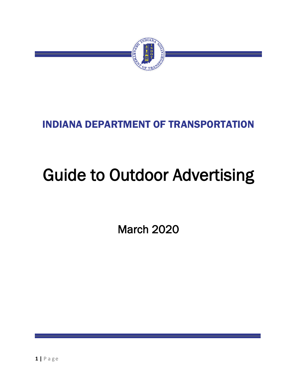

# INDIANA DEPARTMENT OF TRANSPORTATION

# Guide to Outdoor Advertising

March 2020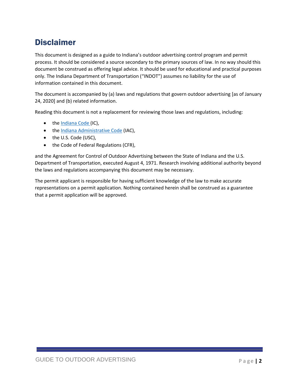# <span id="page-1-0"></span>Disclaimer

This document is designed as a guide to Indiana's outdoor advertising control program and permit process. It should be considered a source secondary to the primary sources of law. In no way should this document be construed as offering legal advice. It should be used for educational and practical purposes only. The Indiana Department of Transportation ("INDOT") assumes no liability for the use of information contained in this document.

The document is accompanied by (a) laws and regulations that govern outdoor advertising [as of January 24, 2020] and (b) related information.

Reading this document is not a replacement for reviewing those laws and regulations, including:

- the [Indiana Code](http://iga.in.gov/legislative/laws/2019/ic/titles/008#8-23) (IC),
- the [Indiana Administrative](http://iac.iga.in.gov/iac/iac_title?iact=105) Code (IAC),
- the U.S. Code (USC),
- the Code of Federal Regulations (CFR),

and the Agreement for Control of Outdoor Advertising between the State of Indiana and the U.S. Department of Transportation, executed August 4, 1971. Research involving additional authority beyond the laws and regulations accompanying this document may be necessary.

The permit applicant is responsible for having sufficient knowledge of the law to make accurate representations on a permit application. Nothing contained herein shall be construed as a guarantee that a permit application will be approved.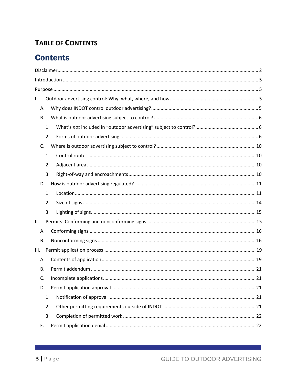### **TABLE OF CONTENTS**

# **Contents**

| I.   |           |  |
|------|-----------|--|
|      | Α.        |  |
|      | <b>B.</b> |  |
|      | 1.        |  |
|      | 2.        |  |
|      | C.        |  |
|      | 1.        |  |
|      | 2.        |  |
|      | 3.        |  |
|      | D.        |  |
|      | 1.        |  |
|      | 2.        |  |
|      | 3.        |  |
| ΙΙ.  |           |  |
|      | А.        |  |
|      | <b>B.</b> |  |
| III. |           |  |
|      | Α.        |  |
|      | В.        |  |
|      | C.        |  |
|      | D.        |  |
|      | 1.        |  |
|      | 2.        |  |
|      | 3.        |  |
|      | Ε.        |  |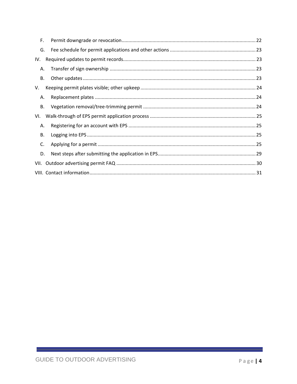| F.        |  |  |
|-----------|--|--|
| G.        |  |  |
| IV.       |  |  |
| Α.        |  |  |
| В.        |  |  |
| V.        |  |  |
| А.        |  |  |
| <b>B.</b> |  |  |
| VI.       |  |  |
| Α.        |  |  |
| <b>B.</b> |  |  |
| C.        |  |  |
| D.        |  |  |
|           |  |  |
|           |  |  |

<u> Tanzania (h. 1888).</u>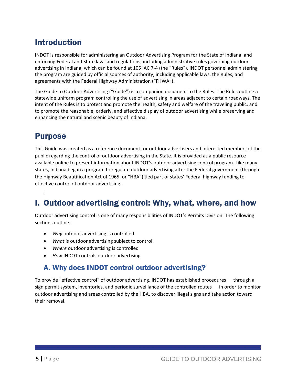# <span id="page-4-0"></span>Introduction

INDOT is responsible for administering an Outdoor Advertising Program for the State of Indiana, and enforcing Federal and State laws and regulations, including administrative rules governing outdoor advertising in Indiana, which can be found at 105 IAC 7-4 (the "Rules"). INDOT personnel administering the program are guided by official sources of authority, including applicable laws, the Rules, and agreements with the Federal Highway Administration ("FHWA").

The Guide to Outdoor Advertising ("Guide") is a companion document to the Rules. The Rules outline a statewide uniform program controlling the use of advertising in areas adjacent to certain roadways. The intent of the Rules is to protect and promote the health, safety and welfare of the traveling public, and to promote the reasonable, orderly, and effective display of outdoor advertising while preserving and enhancing the natural and scenic beauty of Indiana.

# <span id="page-4-1"></span>Purpose

I.

This Guide was created as a reference document for outdoor advertisers and interested members of the public regarding the control of outdoor advertising in the State. It is provided as a public resource available online to present information about INDOT's outdoor advertising control program. Like many states, Indiana began a program to regulate outdoor advertising after the Federal government (through the Highway Beautification Act of 1965, or "HBA") tied part of states' Federal highway funding to effective control of outdoor advertising.

# <span id="page-4-2"></span>I. Outdoor advertising control: Why, what, where, and how

Outdoor advertising control is one of many responsibilities of INDOT's Permits Division. The following sections outline:

- *Why* outdoor advertising is controlled
- *What* is outdoor advertising subject to control
- *Where* outdoor advertising is controlled
- *How* INDOT controls outdoor advertising

### <span id="page-4-3"></span>A. Why does INDOT control outdoor advertising?

To provide "effective control" of outdoor advertising, INDOT has established procedures — through a sign permit system, inventories, and periodic surveillance of the controlled routes — in order to monitor outdoor advertising and areas controlled by the HBA, to discover illegal signs and take action toward their removal.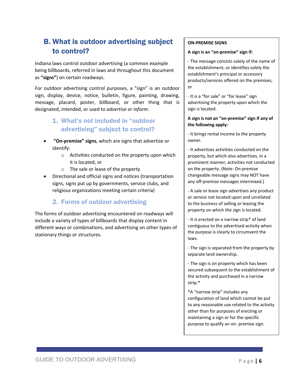### <span id="page-5-0"></span>B. What is outdoor advertising subject to control?

Indiana laws control outdoor advertising (a common example being billboards, referred in laws and throughout this document as **"signs"**) on certain roadways.

For outdoor advertising control purposes, a "sign" is an outdoor sign, display, device, notice, bulletin, figure, painting, drawing, message, placard, poster, billboard, or other thing that is designated, intended, or used to *advertise or inform*.

- <span id="page-5-1"></span>1. What's *not* included in "outdoor advertising" subject to control?
- **"On-premise" signs**, which are signs that advertise or identify:
	- o Activities conducted on the property upon which it is located, or
	- o The sale or lease of the property
- Directional and official signs and notices (transportation signs, signs put up by governments, service clubs, and religious organizations meeting certain criteria)

### 2. Forms of outdoor advertising

<span id="page-5-2"></span>The forms of outdoor advertising encountered on roadways will include a variety of types of billboards that display content in different ways or combinations, and advertising on other types of stationary things or structures.

#### **ON-PREMISE SIGNS**

#### **A sign is an "on-premise" sign if:**

- The message consists solely of the name of the establishment, or identifies solely the establishment's principal or accessory products/services offered on the premises; or

- It is a "for sale" or "for lease" sign advertising the property upon which the sign is located.

#### **A sign is not an "on-premise" sign if any of the following apply:**

- It brings rental income to the property owner.

- It advertises activities conducted on the property, but which also advertises, in a prominent manner, activities not conducted on the property. (Note: On-premise changeable message signs may NOT have any off-premise messages intermixed.)

- A sale or lease sign advertises any product or service not located upon and unrelated to the business of selling or leasing the property on which the sign is located.

- It is erected on a narrow strip\* of land contiguous to the advertised activity when the purpose is clearly to circumvent the laws.

- The sign is separated from the property by separate land ownership.

- The sign is on property which has been secured subsequent to the establishment of the activity and purchased in a narrow strip.\*

\*A "narrow strip" includes any configuration of land which cannot be put to any reasonable use related to the activity other than for purposes of erecting or maintaining a sign or for the specific purpose to qualify an on- premise sign.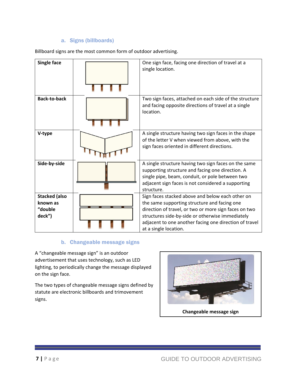### a. Signs (billboards)

Billboard signs are the most common form of outdoor advertising.

| <b>Single face</b>                                    | One sign face, facing one direction of travel at a<br>single location.                                                                                                                                                                                                                           |
|-------------------------------------------------------|--------------------------------------------------------------------------------------------------------------------------------------------------------------------------------------------------------------------------------------------------------------------------------------------------|
| <b>Back-to-back</b>                                   | Two sign faces, attached on each side of the structure<br>and facing opposite directions of travel at a single<br>location.                                                                                                                                                                      |
| V-type                                                | A single structure having two sign faces in the shape<br>of the letter V when viewed from above, with the<br>sign faces oriented in different directions.                                                                                                                                        |
| Side-by-side                                          | A single structure having two sign faces on the same<br>supporting structure and facing one direction. A<br>single pipe, beam, conduit, or pole between two<br>adjacent sign faces is not considered a supporting<br>structure.                                                                  |
| <b>Stacked (also</b><br>known as<br>"double<br>deck") | Sign faces stacked above and below each other on<br>the same supporting structure and facing one<br>direction of travel, or two or more sign faces on two<br>structures side-by-side or otherwise immediately<br>adjacent to one another facing one direction of travel<br>at a single location. |

#### b. Changeable message signs

A "changeable message sign" is an outdoor advertisement that uses technology, such as LED lighting, to periodically change the message displayed on the sign face.

The two types of changeable message signs defined by statute are electronic billboards and trimovement signs.

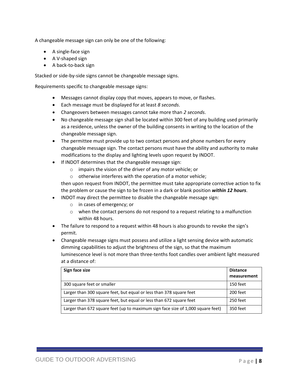A changeable message sign can only be one of the following:

- A single-face sign
- A V-shaped sign
- A back-to-back sign

Stacked or side-by-side signs cannot be changeable message signs.

Requirements specific to changeable message signs:

- Messages cannot display copy that moves, appears to move, or flashes.
- Each message must be displayed for at least *8 seconds*.
- Changeovers between messages cannot take more than *2 seconds*.
- No changeable message sign shall be located within 300 feet of any building used primarily as a residence, unless the owner of the building consents in writing to the location of the changeable message sign.
- The permittee must provide up to two contact persons and phone numbers for every changeable message sign. The contact persons must have the ability and authority to make modifications to the display and lighting levels upon request by INDOT.
- If INDOT determines that the changeable message sign:
	- o impairs the vision of the driver of any motor vehicle; or
	- o otherwise interferes with the operation of a motor vehicle;

then upon request from INDOT, the permittee must take appropriate corrective action to fix the problem or cause the sign to be frozen in a dark or blank position *within 12 hours*.

- INDOT may direct the permittee to disable the changeable message sign:
	- o in cases of emergency; or
	- o when the contact persons do not respond to a request relating to a malfunction within 48 hours.
- The failure to respond to a request within 48 hours is also grounds to revoke the sign's permit.
- Changeable message signs must possess and utilize a light sensing device with automatic dimming capabilities to adjust the brightness of the sign, so that the maximum luminescence level is not more than three-tenths foot candles over ambient light measured at a distance of:

| Sign face size                                                                  | <b>Distance</b><br>measurement |
|---------------------------------------------------------------------------------|--------------------------------|
| 300 square feet or smaller                                                      | 150 feet                       |
| Larger than 300 square feet, but equal or less than 378 square feet             | 200 feet                       |
| Larger than 378 square feet, but equal or less than 672 square feet             | 250 feet                       |
| Larger than 672 square feet (up to maximum sign face size of 1,000 square feet) | 350 feet                       |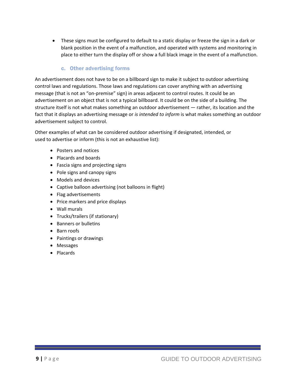• These signs must be configured to default to a static display or freeze the sign in a dark or blank position in the event of a malfunction, and operated with systems and monitoring in place to either turn the display off or show a full black image in the event of a malfunction.

### c. Other advertising forms

An advertisement does not have to be on a billboard sign to make it subject to outdoor advertising control laws and regulations. Those laws and regulations can cover anything with an advertising message (that is not an "on-premise" sign) in areas adjacent to control routes. It could be an advertisement on an object that is not a typical billboard. It could be on the side of a building. The structure itself is not what makes something an outdoor advertisement — rather, its location and the fact that it displays an advertising message or *is intended to inform* is what makes something an outdoor advertisement subject to control.

Other examples of what can be considered outdoor advertising if designated, intended, or used to advertise or inform (this is not an exhaustive list):

- Posters and notices
- Placards and boards
- Fascia signs and projecting signs
- Pole signs and canopy signs
- Models and devices
- Captive balloon advertising (not balloons in flight)
- Flag advertisements
- Price markers and price displays
- Wall murals
- Trucks/trailers (if stationary)
- Banners or bulletins
- Barn roofs
- Paintings or drawings
- Messages
- Placards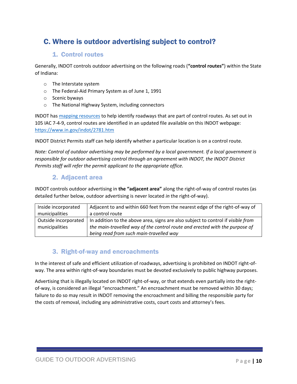### <span id="page-9-0"></span>C. Where is outdoor advertising subject to control?

### 1. Control routes

<span id="page-9-1"></span>Generally, INDOT controls outdoor advertising on the following roads (**"control routes"**) within the State of Indiana:

- o The Interstate system
- o The Federal-Aid Primary System as of June 1, 1991
- o Scenic byways
- o The National Highway System, including connectors

INDOT ha[s mapping resources](https://indot.maps.arcgis.com/apps/webappviewer/index.html?id=0675b70ebe4d41bdb5883d766e31e452) to help identify roadways that are part of control routes. As set out in 105 IAC 7-4-9, control routes are identified in an updated file available on this INDOT webpage: <https://www.in.gov/indot/2781.htm>

INDOT District Permits staff can help identify whether a particular location is on a control route.

*Note: Control of outdoor advertising may be performed by a local government. If a local government is responsible for outdoor advertising control through an agreement with INDOT, the INDOT District Permits staff will refer the permit applicant to the appropriate office.*

### 2. Adjacent area

<span id="page-9-2"></span>INDOT controls outdoor advertising in **the "adjacent area"** along the right-of-way of control routes (as detailed further below, outdoor advertising is never located *in* the right-of-way).

| Inside incorporated  | Adjacent to and within 660 feet from the nearest edge of the right-of-way of     |
|----------------------|----------------------------------------------------------------------------------|
| municipalities       | a control route                                                                  |
| Outside incorporated | In addition to the above area, signs are also subject to control if visible from |
| municipalities       | the main-travelled way of the control route and erected with the purpose of      |
|                      | being read from such main-travelled way                                          |

### 3. Right-of-way and encroachments

<span id="page-9-3"></span>In the interest of safe and efficient utilization of roadways, advertising is prohibited on INDOT right-ofway. The area within right-of-way boundaries must be devoted exclusively to public highway purposes.

Advertising that is illegally located on INDOT right-of-way, or that extends even partially into the rightof-way, is considered an illegal "encroachment." An encroachment must be removed within 30 days; failure to do so may result in INDOT removing the encroachment and billing the responsible party for the costs of removal, including any administrative costs, court costs and attorney's fees.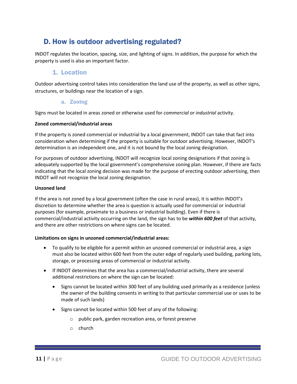### <span id="page-10-0"></span>D. How is outdoor advertising regulated?

INDOT regulates the location, spacing, size, and lighting of signs. In addition, the purpose for which the property is used is also an important factor.

### 1. Location

<span id="page-10-1"></span>Outdoor advertising control takes into consideration the land use of the property, as well as other signs, structures, or buildings near the location of a sign.

#### a. Zoning

Signs must be located in areas zoned or otherwise used for *commercial or industrial* activity.

#### **Zoned commercial/industrial areas**

If the property is zoned commercial or industrial by a local government, INDOT can take that fact into consideration when determining if the property is suitable for outdoor advertising. However, INDOT's determination is an independent one, and it is not bound by the local zoning designation.

For purposes of outdoor advertising, INDOT will recognize local zoning designations if that zoning is adequately supported by the local government's comprehensive zoning plan. However, if there are facts indicating that the local zoning decision was made for the purpose of erecting outdoor advertising, then INDOT will not recognize the local zoning designation.

#### **Unzoned land**

If the area is not zoned by a local government (often the case in rural areas), it is within INDOT's discretion to determine whether the area is question is actually used for commercial or industrial purposes (for example, proximate to a business or industrial building). Even if there is commercial/industrial activity occurring on the land, the sign has to be *within 600 feet* of that activity, and there are other restrictions on where signs can be located.

#### **Limitations on signs in unzoned commercial/industrial areas:**

- To qualify to be eligible for a permit within an unzoned commercial or industrial area, a sign must also be located within 600 feet from the outer edge of regularly used building, parking lots, storage, or processing areas of commercial or industrial activity.
- If INDOT determines that the area has a commercial/industrial activity, there are several additional restrictions on where the sign can be located:
	- Signs cannot be located within 300 feet of any building used primarily as a residence (unless the owner of the building consents in writing to that particular commercial use or uses to be made of such lands)
	- Signs cannot be located within 500 feet of any of the following:
		- o public park, garden recreation area, or forest preserve
		- o church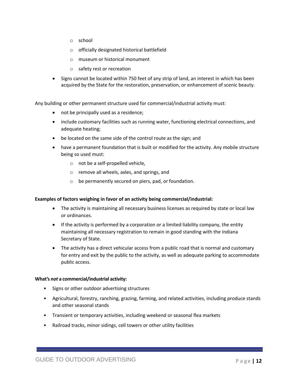- o school
- o officially designated historical battlefield
- o museum or historical monument
- o safety rest or recreation
- Signs cannot be located within 750 feet of any strip of land, an interest in which has been acquired by the State for the restoration, preservation, or enhancement of scenic beauty.

Any building or other permanent structure used for commercial/industrial activity must:

- not be principally used as a residence;
- include customary facilities such as running water, functioning electrical connections, and adequate heating;
- be located on the same side of the control route as the sign; and
- have a permanent foundation that is built or modified for the activity. Any mobile structure being so used must:
	- o not be a self-propelled vehicle,
	- o remove all wheels, axles, and springs, and
	- o be permanently secured on piers, pad, or foundation.

#### **Examples of factors weighing in favor of an activity being commercial/industrial:**

- The activity is maintaining all necessary business licenses as required by state or local law or ordinances.
- If the activity is performed by a corporation or a limited liability company, the entity maintaining all necessary registration to remain in good standing with the Indiana Secretary of State.
- The activity has a direct vehicular access from a public road that is normal and customary for entry and exit by the public to the activity, as well as adequate parking to accommodate public access.

#### **What's** *not* **a commercial/industrial activity:**

- Signs or other outdoor advertising structures
- Agricultural, forestry, ranching, grazing, farming, and related activities, including produce stands and other seasonal stands
- Transient or temporary activities, including weekend or seasonal flea markets
- Railroad tracks, minor sidings, cell towers or other utility facilities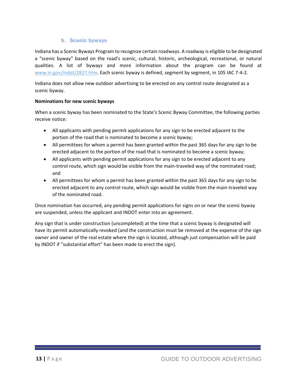### b. Scenic byways

Indiana has a Scenic Byways Program to recognize certain roadways. A roadway is eligible to be designated a "scenic byway" based on the road's scenic, cultural, historic, archeological, recreational, or natural qualities. A list of byways and more information about the program can be found at [www.in.gov/indot/2827.htm.](http://www.in.gov/indot/2827.htm) Each scenic byway is defined, segment by segment, in 105 IAC 7-4-2.

Indiana does not allow new outdoor advertising to be erected on any control route designated as a scenic byway.

#### **Nominations for new scenic byways**

When a scenic byway has been nominated to the State's Scenic Byway Committee, the following parties receive notice:

- All applicants with pending permit applications for any sign to be erected adjacent to the portion of the road that is nominated to become a scenic byway;
- All permittees for whom a permit has been granted within the past 365 days for any sign to be erected adjacent to the portion of the road that is nominated to become a scenic byway;
- All applicants with pending permit applications for any sign to be erected adjacent to any control route, which sign would be visible from the main-traveled way of the nominated road; and
- All permittees for whom a permit has been granted within the past 365 days for any sign to be erected adjacent to any control route, which sign would be visible from the main-traveled way of the nominated road.

Once nomination has occurred, any pending permit applications for signs on or near the scenic byway are suspended, unless the applicant and INDOT enter into an agreement.

Any sign that is under construction (uncompleted) at the time that a scenic byway is designated will have its permit automatically revoked (and the construction must be removed at the expense of the sign owner and owner of the real estate where the sign is located, although just compensation will be paid by INDOT if "substantial effort" has been made to erect the sign).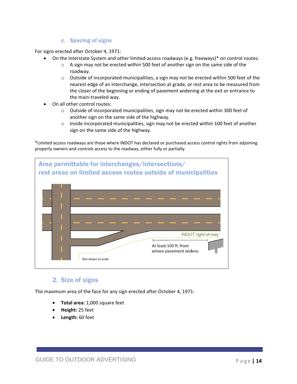### c. Spacing of signs

For signs erected after October 4, 1971:

- On the Interstate System and other limited-access roadways (e.g. freeways)\* on control routes:
	- $\circ$  A sign may not be erected within 500 feet of another sign on the same side of the roadway.
	- $\circ$  Outside of incorporated municipalities, a sign may not be erected within 500 feet of the nearest edge of an interchange, intersection at grade, or rest area to be measured from the closer of the beginning or ending of pavement widening at the exit or entrance to the main-traveled way.
- On all other control routes:
	- $\circ$  Outside of incorporated municipalities, sign may not be erected within 300 feet of another sign on the same side of the highway.
	- $\circ$  Inside incorporated municipalities, sign may not be erected within 100 feet of another sign on the same side of the highway.

\*Limited access roadways are those where INDOT has declared or purchased access control rights from adjoining property owners and controls access to the roadway, either fully or partially.



### 2. Size of signs

<span id="page-13-0"></span>The maximum area of the face for any sign erected after October 4, 1971:

- **Total area:** 1,000 square feet
- **Height:** 25 feet
- **Length:** 60 feet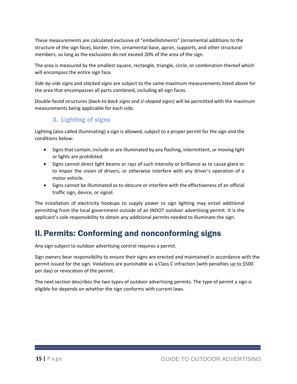These measurements are calculated exclusive of "embellishments" (ornamental additions to the structure of the sign face), border, trim, ornamental base, apron, supports, and other structural members, so long as the exclusions do not exceed 20% of the area of the sign.

The area is measured by the smallest square, rectangle, triangle, circle, or combination thereof which will encompass the entire sign face.

*Side-by-side signs* and *stacked signs* are subject to the same maximum measurements listed above for the area that encompasses all parts combined, including all sign faces.

Double-faced structures (*back-to-back signs* and *V-shaped signs*) will be permitted with the maximum measurements being applicable for each side.

### 3. Lighting of signs

<span id="page-14-0"></span>Lighting (also called illuminating) a sign is allowed, subject to a proper permit for the sign and the conditions below:

- Signs that contain, include or are illuminated by any flashing, intermittent, or moving light or lights are prohibited.
- Signs cannot direct light beams or rays of such intensity or brilliance as to cause glare or to impair the vision of drivers, or otherwise interfere with any driver's operation of a motor vehicle.
- Signs cannot be illuminated as to obscure or interfere with the effectiveness of an official traffic sign, device, or signal.

The installation of electricity hookups to supply power to sign lighting may entail additional permitting from the local government outside of an INDOT outdoor advertising permit. It is the applicant's sole responsibility to obtain any additional permits needed to illuminate the sign.

# <span id="page-14-1"></span>II. Permits: Conforming and nonconforming signs

Any sign subject to outdoor advertising control requires a permit.

Sign owners bear responsibility to ensure their signs are erected and maintained in accordance with the permit issued for the sign. Violations are punishable as a Class C infraction (with penalties up to \$500 per day) or revocation of the permit.

The next section describes the two types of outdoor advertising permits. The type of permit a sign is eligible for depends on whether the sign conforms with current laws.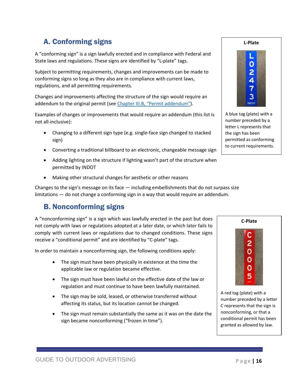### A. Conforming signs

<span id="page-15-0"></span>A "conforming sign" is a sign lawfully erected and in compliance with Federal and State laws and regulations. These signs are identified by "L-plate" tags.

Subject to permitting requirements, changes and improvements can be made to conforming signs so long as they also are in compliance with current laws, regulations, and all permitting requirements.

Changes and improvements affecting the structure of the sign would require an addendum to the original permit (see Chapter III.B, "P[ermit addendum](#page-20-0)").

Examples of changes or improvements that would require an addendum (this list is not all-inclusive):

- Changing to a different sign type (e.g. single-face sign changed to stacked sign)
- Converting a traditional billboard to an electronic, changeable message sign
- Adding lighting on the structure if lighting wasn't part of the structure when permitted by INDOT
- Making other structural changes for aesthetic or other reasons

Changes to the sign's message on its face  $-$  including embellishments that do not surpass size limitations — do not change a conforming sign in a way that would require an addendum.

### <span id="page-15-1"></span>B. Nonconforming signs

A "nonconforming sign" is a sign which was lawfully erected in the past but does not comply with laws or regulations adopted at a later date, or which later fails to comply with current laws or regulations due to changed conditions. These signs receive a "conditional permit" and are identified by "C-plate" tags.

In order to maintain a nonconforming sign, the following conditions apply:

- The sign must have been physically in existence at the time the applicable law or regulation became effective.
- The sign must have been lawful on the effective date of the law or regulation and must continue to have been lawfully maintained.
- The sign may be sold, leased, or otherwise transferred without affecting its status, but its location cannot be changed.
- The sign must remain substantially the same as it was on the date the sign became nonconforming ("frozen in time").



**L-Plate**

A blue tag (plate) with a number preceded by a letter L represents that the sign has been permitted as conforming to current requirements.



A red tag (plate) with a number preceded by a letter C represents that the sign is nonconforming, or that a conditional permit has been granted as allowed by law.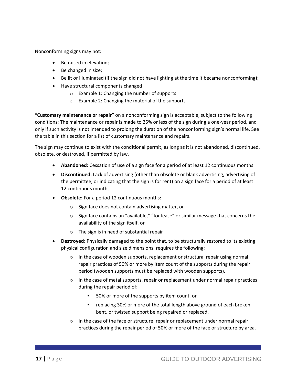Nonconforming signs may not:

- Be raised in elevation;
- Be changed in size;
- Be lit or illuminated (if the sign did not have lighting at the time it became nonconforming);
- Have structural components changed
	- o Example 1: Changing the number of supports
	- o Example 2: Changing the material of the supports

**"Customary maintenance or repair"** on a nonconforming sign is acceptable, subject to the following conditions: The maintenance or repair is made to 25% or less of the sign during a one-year period, and only if such activity is not intended to prolong the duration of the nonconforming sign's normal life. See the table in this section for a list of customary maintenance and repairs.

The sign may continue to exist with the conditional permit, as long as it is not abandoned, discontinued, obsolete, or destroyed, if permitted by law.

- **Abandoned:** Cessation of use of a sign face for a period of at least 12 continuous months
- **Discontinued:** Lack of advertising (other than obsolete or blank advertising, advertising of the permittee, or indicating that the sign is for rent) on a sign face for a period of at least 12 continuous months
- **Obsolete:** For a period 12 continuous months:
	- o Sign face does not contain advertising matter, or
	- o Sign face contains an "available," "for lease" or similar message that concerns the availability of the sign itself, or
	- o The sign is in need of substantial repair
- **Destroyed:** Physically damaged to the point that, to be structurally restored to its existing physical configuration and size dimensions, requires the following:
	- $\circ$  In the case of wooden supports, replacement or structural repair using normal repair practices of 50% or more by item count of the supports during the repair period (wooden supports must be replaced with wooden supports).
	- $\circ$  In the case of metal supports, repair or replacement under normal repair practices during the repair period of:
		- 50% or more of the supports by item count, or
		- replacing 30% or more of the total length above ground of each broken, bent, or twisted support being repaired or replaced.
	- $\circ$  In the case of the face or structure, repair or replacement under normal repair practices during the repair period of 50% or more of the face or structure by area.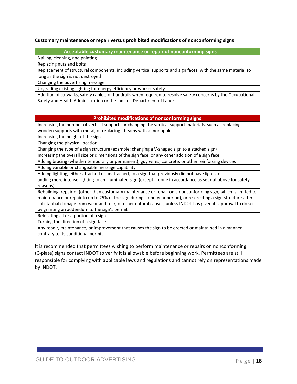#### **Customary maintenance or repair versus prohibited modifications of nonconforming signs**

#### **Acceptable customary maintenance or repair of nonconforming signs**

Nailing, cleaning, and painting

Replacing nuts and bolts

Replacement of structural components, including vertical supports and sign faces, with the same material so long as the sign is not destroyed

Changing the advertising message

Upgrading existing lighting for energy efficiency or worker safety

Addition of catwalks, safety cables, or handrails when required to resolve safety concerns by the Occupational Safety and Health Administration or the Indiana Department of Labor

#### **Prohibited modifications of nonconforming signs**

Increasing the number of vertical supports or changing the vertical support materials, such as replacing wooden supports with metal, or replacing I-beams with a monopole

Increasing the height of the sign

Changing the physical location

Changing the type of a sign structure (example: changing a V-shaped sign to a stacked sign)

Increasing the overall size or dimensions of the sign face, or any other addition of a sign face

Adding bracing (whether temporary or permanent), guy wires, concrete, or other reinforcing devices Adding variable or changeable message capability

Adding lighting, either attached or unattached, to a sign that previously did not have lights, or

adding more intense lighting to an illuminated sign (except if done in accordance as set out above for safety reasons)

Rebuilding, repair of (other than customary maintenance or repair on a nonconforming sign, which is limited to maintenance or repair to up to 25% of the sign during a one-year period), or re-erecting a sign structure after substantial damage from wear and tear, or other natural causes, unless INDOT has given its approval to do so

by granting an addendum to the sign's permit

Relocating all or a portion of a sign

Turning the direction of a sign face

Any repair, maintenance, or improvement that causes the sign to be erected or maintained in a manner contrary to its conditional permit

It is recommended that permittees wishing to perform maintenance or repairs on nonconforming (C-plate) signs contact INDOT to verify it is allowable before beginning work. Permittees are still responsible for complying with applicable laws and regulations and cannot rely on representations made by INDOT.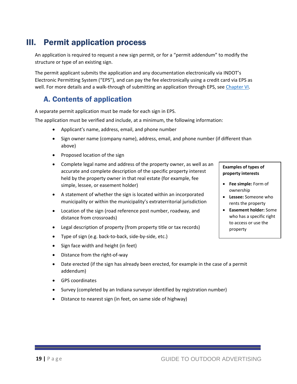# <span id="page-18-0"></span>III. Permit application process

An application is required to request a new sign permit, or for a "permit addendum" to modify the structure or type of an existing sign.

The permit applicant submits the application and any documentation electronically via INDOT's Electronic Permitting System ("EPS"), and can pay the fee electronically using a credit card via EPS as well. For more details and a walk-through of submitting an application through EPS, see [Chapter VI.](#page-24-0)

### <span id="page-18-1"></span>A. Contents of application

A separate permit application must be made for each sign in EPS.

The application must be verified and include, at a minimum, the following information:

- Applicant's name, address, email, and phone number
- Sign owner name (company name), address, email, and phone number (if different than above)
- Proposed location of the sign
- Complete legal name and address of the property owner, as well as an accurate and complete description of the specific property interest held by the property owner in that real estate (for example, fee simple, lessee, or easement holder)
- A statement of whether the sign is located within an incorporated municipality or within the municipality's extraterritorial jurisdiction
- Location of the sign (road reference post number, roadway, and distance from crossroads)
- Legal description of property (from property title or tax records)
- Type of sign (e.g. back-to-back, side-by-side, etc.)
- Sign face width and height (in feet)
- Distance from the right-of-way
- Date erected (if the sign has already been erected, for example in the case of a permit addendum)
- GPS coordinates
- Survey (completed by an Indiana surveyor identified by registration number)
- Distance to nearest sign (in feet, on same side of highway)

#### **Examples of types of property interests**

- **Fee simple:** Form of ownership
- **Lessee:** Someone who rents the property
- **Easement holder:** Some who has a specific right to access or use the property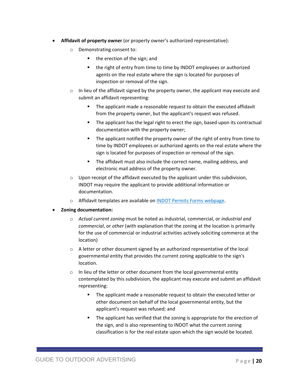- **Affidavit of property owner** (or property owner's authorized representative):
	- o Demonstrating consent to:
		- the erection of the sign; and
		- the right of entry from time to time by INDOT employees or authorized agents on the real estate where the sign is located for purposes of inspection or removal of the sign.
	- $\circ$  In lieu of the affidavit signed by the property owner, the applicant may execute and submit an affidavit representing:
		- The applicant made a reasonable request to obtain the executed affidavit from the property owner, but the applicant's request was refused.
		- The applicant has the legal right to erect the sign, based upon its contractual documentation with the property owner;
		- The applicant notified the property owner of the right of entry from time to time by INDOT employees or authorized agents on the real estate where the sign is located for purposes of inspection or removal of the sign.
		- The affidavit must also include the correct name, mailing address, and electronic mail address of the property owner.
	- $\circ$  Upon receipt of the affidavit executed by the applicant under this subdivision, INDOT may require the applicant to provide additional information or documentation.
	- o Affidavit templates are available on [INDOT Permits Forms webpage.](https://www.in.gov/indot/2501.htm)
- **Zoning documentation:**
	- o *Actual current zoning* must be noted as industrial, commercial, or *industrial and commercial*, or *other* (with explanation that the zoning at the location is primarily for the use of commercial or industrial activities actively soliciting commerce at the location)
	- o A letter or other document signed by an authorized representative of the local governmental entity that provides the current zoning applicable to the sign's location.
	- o In lieu of the letter or other document from the local governmental entity contemplated by this subdivision, the applicant may execute and submit an affidavit representing:
		- The applicant made a reasonable request to obtain the executed letter or other document on behalf of the local governmental entity, but the applicant's request was refused; and
		- **•** The applicant has verified that the zoning is appropriate for the erection of the sign, and is also representing to INDOT what the current zoning classification is for the real estate upon which the sign would be located.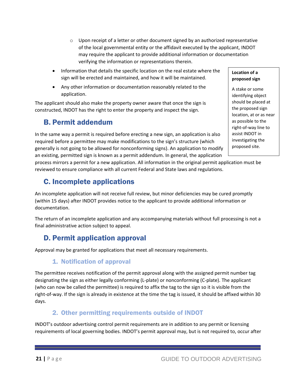- $\circ$  Upon receipt of a letter or other document signed by an authorized representative of the local governmental entity or the affidavit executed by the applicant, INDOT may require the applicant to provide additional information or documentation verifying the information or representations therein.
- Information that details the specific location on the real estate where the sign will be erected and maintained, and how it will be maintained.
- Any other information or documentation reasonably related to the application.

The applicant should also make the property owner aware that once the sign is constructed, INDOT has the right to enter the property and inspect the sign.

### <span id="page-20-0"></span>B. Permit addendum

In the same way a permit is required before erecting a new sign, an application is also required before a permittee may make modifications to the sign's structure (which generally is not going to be allowed for nonconforming signs). An application to modify an existing, permitted sign is known as a permit addendum. In general, the application

process mirrors a permit for a new application. All information in the original permit application must be reviewed to ensure compliance with all current Federal and State laws and regulations.

### <span id="page-20-1"></span>C. Incomplete applications

An incomplete application will not receive full review, but minor deficiencies may be cured promptly (within 15 days) after INDOT provides notice to the applicant to provide additional information or documentation.

The return of an incomplete application and any accompanying materials without full processing is not a final administrative action subject to appeal.

### <span id="page-20-2"></span>D. Permit application approval

<span id="page-20-3"></span>Approval may be granted for applications that meet all necessary requirements.

### 1. Notification of approval

The permittee receives notification of the permit approval along with the assigned permit number tag designating the sign as either legally conforming (L-plate) or nonconforming (C-plate). The applicant (who can now be called the permittee) is required to affix the tag to the sign so it is visible from the right-of-way. If the sign is already in existence at the time the tag is issued, it should be affixed within 30 days.

### 2. Other permitting requirements outside of INDOT

<span id="page-20-4"></span>INDOT's outdoor advertising control permit requirements are in addition to any permit or licensing requirements of local governing bodies. INDOT's permit approval may, but is not required to, occur after

#### **Location of a proposed sign**

A stake or some identifying object should be placed at the proposed sign location, at or as near as possible to the right-of-way line to assist INDOT in investigating the proposed site.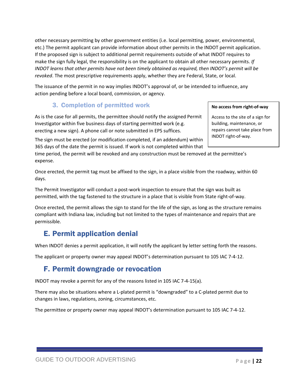other necessary permitting by other government entities (i.e. local permitting, power, environmental, etc.) The permit applicant can provide information about other permits in the INDOT permit application. If the proposed sign is subject to additional permit requirements outside of what INDOT requires to make the sign fully legal, the responsibility is on the applicant to obtain all other necessary permits. *If INDOT learns that other permits have not been timely obtained as required, then INDOT's permit will be revoked*. The most prescriptive requirements apply, whether they are Federal, State, or local.

The issuance of the permit in no way implies INDOT's approval of, or be intended to influence, any action pending before a local board, commission, or agency.

### 3. Completion of permitted work

<span id="page-21-0"></span>As is the case for all permits, the permittee should notify the assigned Permit Investigator within five business days of starting permitted work (e.g. erecting a new sign). A phone call or note submitted in EPS suffices.

The sign must be erected (or modification completed, if an addendum) within 365 days of the date the permit is issued. If work is not completed within that

time period, the permit will be revoked and any construction must be removed at the permittee's expense.

Once erected, the permit tag must be affixed to the sign, in a place visible from the roadway, within 60 days.

The Permit Investigator will conduct a post-work inspection to ensure that the sign was built as permitted, with the tag fastened to the structure in a place that is visible from State right-of-way.

Once erected, the permit allows the sign to stand for the life of the sign, as long as the structure remains compliant with Indiana law, including but not limited to the types of maintenance and repairs that are permissible.

### <span id="page-21-1"></span>E. Permit application denial

When INDOT denies a permit application, it will notify the applicant by letter setting forth the reasons.

The applicant or property owner may appeal INDOT's determination pursuant to 105 IAC 7-4-12.

### <span id="page-21-2"></span>F. Permit downgrade or revocation

INDOT may revoke a permit for any of the reasons listed in 105 IAC 7-4-15(a).

There may also be situations where a L-plated permit is "downgraded" to a C-plated permit due to changes in laws, regulations, zoning, circumstances, etc.

The permittee or property owner may appeal INDOT's determination pursuant to 105 IAC 7-4-12.

#### **No access from right-of-way**

Access to the site of a sign for building, maintenance, or repairs cannot take place from INDOT right-of-way.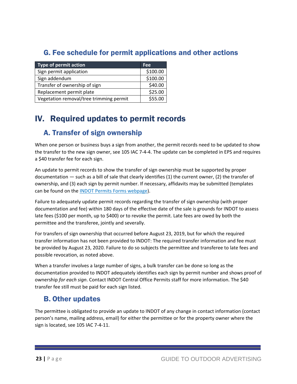### <span id="page-22-0"></span>G. Fee schedule for permit applications and other actions

| <b>Type of permit action</b>            | <b>Fee</b> |
|-----------------------------------------|------------|
| Sign permit application                 | \$100.00   |
| Sign addendum                           | \$100.00   |
| Transfer of ownership of sign           | \$40.00    |
| Replacement permit plate                | \$25.00    |
| Vegetation removal/tree trimming permit | \$55.00    |

# <span id="page-22-1"></span>IV. Required updates to permit records

### <span id="page-22-2"></span>A. Transfer of sign ownership

When one person or business buys a sign from another, the permit records need to be updated to show the transfer to the new sign owner, see 105 IAC 7-4-4. The update can be completed in EPS and requires a \$40 transfer fee for each sign.

An update to permit records to show the transfer of sign ownership must be supported by proper documentation — such as a bill of sale that clearly identifies (1) the current owner, (2) the transfer of ownership, and (3) each sign by permit number. If necessary, affidavits may be submitted (templates can be found on the [INDOT Permits Forms webpage\)](https://www.in.gov/indot/2501.htm).

Failure to adequately update permit records regarding the transfer of sign ownership (with proper documentation and fee) within 180 days of the effective date of the sale is grounds for INDOT to assess late fees (\$100 per month, up to \$400) or to revoke the permit. Late fees are owed by both the permittee and the transferee, jointly and severally.

For transfers of sign ownership that occurred before August 23, 2019, but for which the required transfer information has not been provided to INDOT: The required transfer information and fee must be provided by August 23, 2020. Failure to do so subjects the permittee and transferee to late fees and possible revocation, as noted above.

When a transfer involves a large number of signs, a bulk transfer can be done so long as the documentation provided to INDOT adequately identifies each sign by permit number and shows proof of ownership *for each sign*. Contact INDOT Central Office Permits staff for more information. The \$40 transfer fee still must be paid for each sign listed.

### <span id="page-22-3"></span>B. Other updates

The permittee is obligated to provide an update to INDOT of any change in contact information (contact person's name, mailing address, email) for either the permittee or for the property owner where the sign is located, see 105 IAC 7-4-11.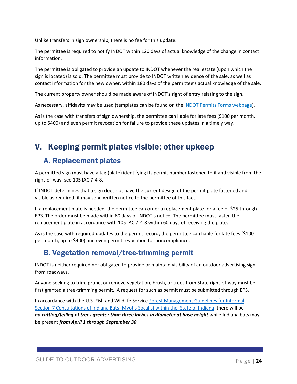Unlike transfers in sign ownership, there is no fee for this update.

The permittee is required to notify INDOT within 120 days of actual knowledge of the change in contact information.

The permittee is obligated to provide an update to INDOT whenever the real estate (upon which the sign is located) is sold. The permittee must provide to INDOT written evidence of the sale, as well as contact information for the new owner, within 180 days of the permittee's actual knowledge of the sale.

The current property owner should be made aware of INDOT's right of entry relating to the sign.

As necessary, affidavits may be used (templates can be found on the [INDOT Permits Forms webpage\)](https://www.in.gov/indot/2501.htm).

As is the case with transfers of sign ownership, the permittee can liable for late fees (\$100 per month, up to \$400) and even permit revocation for failure to provide these updates in a timely way.

# <span id="page-23-0"></span>V. Keeping permit plates visible; other upkeep

### <span id="page-23-1"></span>A. Replacement plates

A permitted sign must have a tag (plate) identifying its permit number fastened to it and visible from the right-of-way, see 105 IAC 7-4-8.

If INDOT determines that a sign does not have the current design of the permit plate fastened and visible as required, it may send written notice to the permittee of this fact.

If a replacement plate is needed, the permittee can order a replacement plate for a fee of \$25 through EPS. The order must be made within 60 days of INDOT's notice. The permittee must fasten the replacement plate in accordance with 105 IAC 7-4-8 within 60 days of receiving the plate.

As is the case with required updates to the permit record, the permittee can liable for late fees (\$100 per month, up to \$400) and even permit revocation for noncompliance.

### <span id="page-23-2"></span>B. Vegetation removal/tree-trimming permit

INDOT is neither required nor obligated to provide or maintain visibility of an outdoor advertising sign from roadways.

Anyone seeking to trim, prune, or remove vegetation, brush, or trees from State right-of-way must be first granted a tree-trimming permit. A request for such as permit must be submitted through EPS.

In accordance with the U.S. Fish and Wildlife Service Forest Management Guidelines for Informal [Section 7 Consultations of Indiana Bats \(Myotis Socalis\) within the State of Indiana,](https://www.nrcs.usda.gov/Internet/FSE_DOCUMENTS/stelprdb1143893.pdf) there will be no cutting/felling of trees greater than three inches in diameter at base height while Indiana bats may be present *from April 1 through September 30.*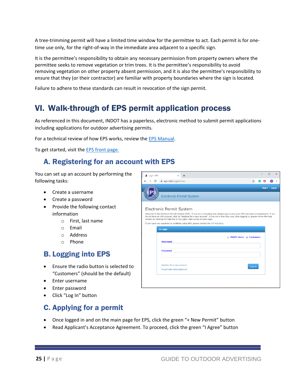A tree-trimming permit will have a limited time window for the permittee to act. Each permit is for onetime use only, for the right-of-way in the immediate area adjacent to a specific sign.

It is the permittee's responsibility to obtain any necessary permission from property owners where the permittee seeks to remove vegetation or trim trees. It is the permittee's responsibility to avoid removing vegetation on other property absent permission, and it is also the permittee's responsibility to ensure that they (or their contractor) are familiar with property boundaries where the sign is located.

Failure to adhere to these standards can result in revocation of the sign permit.

# <span id="page-24-0"></span>VI. Walk-through of EPS permit application process

As referenced in this document, INDOT has a paperless, electronic method to submit permit applications including applications for outdoor advertising permits.

For a technical review of how EPS works, review th[e EPS Manual.](https://eps.indot.in.gov/Areas/HelpFiles/EPS%20User%20Guide%20v1.0%20Customers.docx)

To get started, visit th[e EPS front page.](https://eps.indot.in.gov/)

### <span id="page-24-1"></span>A. Registering for an account with EPS

You can set up an account by performing the following tasks:

- Create a username
- Create a password
- Provide the following contact information
	- o First, last name
	- o Email
	- o Address
	- o Phone

### <span id="page-24-2"></span>B. Logging into EPS

- Ensure the radio button is selected to "Customers" (should be the default)
- Enter username
- Enter password
- Click "Log In" button

#### $\Box$ Login - EPS  $\times$  +  $\rightarrow$   $\mathbf{C}$   $\hat{\mathbf{H}}$  eps.indot.in.gov/Users  $\circ$  : G M  $\text{Help} \star \quad \text{Log in}$ ĒP **Electronic Permit System** Electronic Permit System Welcome to the Electronic Permit System (EPS). If you are a returning user, please log in using your EPS username and password. If you<br>do not have an EPS account, click on "Register for a new account". If you are a first t If you have any questions or problems using EPS, please contact the IOT Helpdesk  $\bigcirc$  Login INDOT Users Custom **Usernam** Password Register for a new accoun Log in Forgot username/password

### <span id="page-24-3"></span>C. Applying for a permit

- Once logged in and on the main page for EPS, click the green "+ New Permit" button
- Read Applicant's Acceptance Agreement. To proceed, click the green "I Agree" button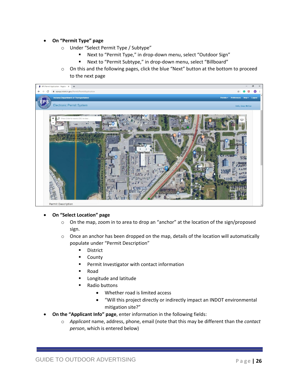#### • **On "Permit Type" page**

- o Under "Select Permit Type / Subtype"
	- Next to "Permit Type," in drop-down menu, select "Outdoor Sign"
	- Next to "Permit Subtype," in drop-down menu, select "Billboard"
- o On this and the following pages, click the blue "Next" button at the bottom to proceed to the next page



#### • **On "Select Location" page**

- o On the map, zoom in to area to drop an "anchor" at the location of the sign/proposed sign.
- $\circ$  Once an anchor has been dropped on the map, details of the location will automatically populate under "Permit Description"
	- **■** District
	- **County**
	- Permit Investigator with contact information
	- Road
	- Longitude and latitude
	- Radio buttons
		- Whether road is limited access
		- "Will this project directly or indirectly impact an INDOT environmental mitigation site?"
- **On the "Applicant Info" page**, enter information in the following fields:
	- o *Applicant* name, address, phone, email (note that this may be different than the *contact person*, which is entered below)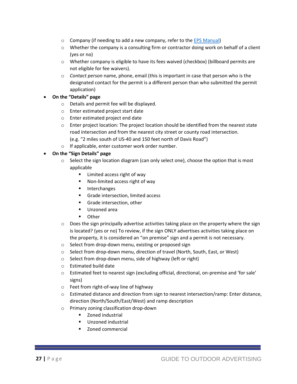- $\circ$  Company (if needing to add a new company, refer to th[e EPS Manual\)](https://eps.indot.in.gov/Areas/HelpFiles/EPS%20User%20Guide%20v1.0%20Customers.docx)
- $\circ$  Whether the company is a consulting firm or contractor doing work on behalf of a client (yes or no)
- o Whether company is eligible to have its fees waived (checkbox) (billboard permits are not eligible for fee waivers).
- o *Contact person* name, phone, email (this is important in case that person who is the designated contact for the permit is a different person than who submitted the permit application)
- **On the "Details" page**
	- o Details and permit fee will be displayed.
	- o Enter estimated project start date
	- o Enter estimated project end date
	- o Enter project location: The project location should be identified from the nearest state road intersection and from the nearest city street or county road intersection. (e.g. "2 miles south of US-40 and 150 feet north of Davis Road")
	- o If applicable, enter customer work order number.
- **On the "Sign Details" page**
	- $\circ$  Select the sign location diagram (can only select one), choose the option that is most applicable
		- Limited access right of way
		- Non-limited access right of way
		- Interchanges
		- Grade intersection, limited access
		- Grade intersection, other
		- Unzoned area
		- Other
	- $\circ$  Does the sign principally advertise activities taking place on the property where the sign is located? (yes or no) To review, if the sign ONLY advertises activities taking place on the property, it is considered an "on premise" sign and a permit is not necessary.
	- o Select from drop-down menu, existing or proposed sign
	- o Select from drop-down menu, direction of travel (North, South, East, or West)
	- o Select from drop-down menu, side of highway (left or right)
	- o Estimated build date
	- o Estimated feet to nearest sign (excluding official, directional, on-premise and 'for sale' signs)
	- o Feet from right-of-way line of highway
	- $\circ$  Estimated distance and direction from sign to nearest intersection/ramp: Enter distance, direction (North/South/East/West) and ramp description
	- o Primary zoning classification drop-down
		- Zoned industrial
		- Unzoned industrial
		- Zoned commercial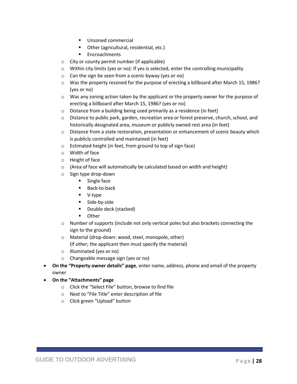- Unzoned commercial
- Other (agricultural, residential, etc.)
- Encroachments
- o City or county permit number (if applicable)
- $\circ$  Within city limits (yes or no): If yes is selected, enter the controlling municipality
- o Can the sign be seen from a scenic byway (yes or no)
- o Was the property rezoned for the purpose of erecting a billboard after March 15, 1986? (yes or no)
- $\circ$  Was any zoning action taken by the applicant or the property owner for the purpose of erecting a billboard after March 15, 1986? (yes or no)
- o Distance from a building being used primarily as a residence (in feet)
- o Distance to public park, garden, recreation area or forest preserve, church, school, and historically designated area, museum or publicly owned rest area (in feet)
- $\circ$  Distance from a state restoration, presentation or enhancement of scenic beauty which is publicly controlled and maintained (in feet)
- o Estimated height (in feet, from ground to top of sign face)
- o Width of face
- o Height of face
- $\circ$  (Area of face will automatically be calculated based on width and height)
- o Sign type drop-down
	- Single face
	- Back-to-back
	- V-type
	- Side-by-side
	- Double deck (stacked)
	- Other
- $\circ$  Number of supports (include not only vertical poles but also brackets connecting the sign to the ground)
- o Material (drop-down: wood, steel, monopole, other) (If *other*, the applicant then must specify the material)
- o Illuminated (yes or no)
- o Changeable message sign (yes or no)
- **On the "Property owner details" page**, enter name, address, phone and email of the property owner
- **On the "Attachments" page**
	- o Click the "Select File" button, browse to find file
	- o Next to "File Title" enter description of file
	- o Click green "Upload" button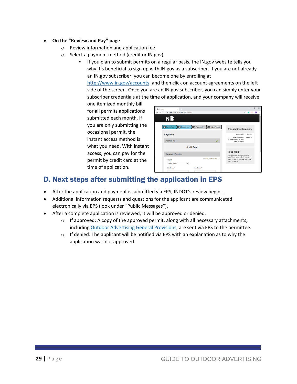#### • **On the "Review and Pay" page**

- o Review information and application fee
- o Select a payment method (credit or IN.gov)
	- **■** If you plan to submit permits on a regular basis, the IN.gov website tells you why it's beneficial to sign up with IN.gov as a subscriber. If you are not already an IN.gov subscriber, you can become one by enrolling at

[http://www.in.gov/accounts,](http://www.in.gov/accounts) and then click on account agreements on the left side of the screen. Once you are an IN.gov subscriber, you can simply enter your subscriber credentials at the time of application, and your company will receive

one itemized monthly bill for all permits applications submitted each month. If you are only submitting the occasional permit, the instant access method is what you need. With instant access, you can pay for the permit by credit card at the time of application.

| G)<br>Checkput<br>×<br>$\ddot{}$                                                  | $\Box$<br>$\times$                                                                                                                             |
|-----------------------------------------------------------------------------------|------------------------------------------------------------------------------------------------------------------------------------------------|
| # stageccp.dev.cdc.nicusa.com/Checkout/                                           |                                                                                                                                                |
| NİÖ                                                                               |                                                                                                                                                |
| 2 Customer Info<br><b>B</b> Payment Info<br><b>Submit Payment</b><br>Payment Type | <b>Transaction Summary</b>                                                                                                                     |
| <b>Payment</b>                                                                    | Permit Fee BB \$100.00                                                                                                                         |
| <b>Payment Type</b>                                                               | <b>Total Includes</b><br>\$100.00<br>Request and IN.gov<br>Online Fees                                                                         |
| <b>Credit Card</b>                                                                |                                                                                                                                                |
| <b>Customer Information</b>                                                       | Need Help?                                                                                                                                     |
| Complete all required fields [*]<br>Country                                       | For support with making a payment.<br>please call in gov at: Phone - 317-233-<br>2010 - Feature #1 Toll Free - 1-800-236-<br>5446 - Feature #1 |
| <b>United States</b><br>٠                                                         |                                                                                                                                                |
| First Name *<br>Last Name *                                                       |                                                                                                                                                |

### <span id="page-28-0"></span>D. Next steps after submitting the application in EPS

- After the application and payment is submitted via EPS, INDOT's review begins.
- Additional information requests and questions for the applicant are communicated electronically via EPS (look under "Public Messages").
- After a complete application is reviewed, it will be approved or denied.
	- $\circ$  If approved: A copy of the approved permit, along with all necessary attachments, including [Outdoor Advertising General Provisions,](https://www.in.gov/indot/2781.htm) are sent via EPS to the permittee.
	- $\circ$  If denied: The applicant will be notified via EPS with an explanation as to why the application was not approved.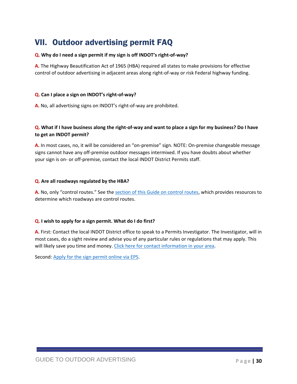# <span id="page-29-0"></span>VII. Outdoor advertising permit FAQ

#### **Q. Why do I need a sign permit if my sign is off INDOT's right-of-way?**

**A.** The Highway Beautification Act of 1965 (HBA) required all states to make provisions for effective control of outdoor advertising in adjacent areas along right-of-way or risk Federal highway funding.

#### **Q. Can I place a sign on INDOT's right-of-way?**

**A.** No, all advertising signs on INDOT's right-of-way are prohibited.

### **Q. What if I have business along the right-of-way and want to place a sign for my business? Do I have to get an INDOT permit?**

**A.** In most cases, no, it will be considered an "on-premise" sign. NOTE: On-premise changeable message signs cannot have any off-premise outdoor messages intermixed. If you have doubts about whether your sign is on- or off-premise, contact the local INDOT District Permits staff.

#### **Q. Are all roadways regulated by the HBA?**

**A.** No, only "control routes." See th[e section of this Guide on control routes,](#page-9-1) which provides resources to determine which roadways are control routes.

#### **Q. I wish to apply for a sign permit. What do I do first?**

**A.** First: Contact the local INDOT District office to speak to a Permits Investigator. The Investigator, will in most cases, do a sight review and advise you of any particular rules or regulations that may apply. This will likely save you time and money. [Click here for contact information in your area.](https://www.in.gov/indot/2727.htm)

Second: [Apply for the sign permit online via EPS.](https://eps.indot.in.gov/Users/Account/Login?returnUrl=/)